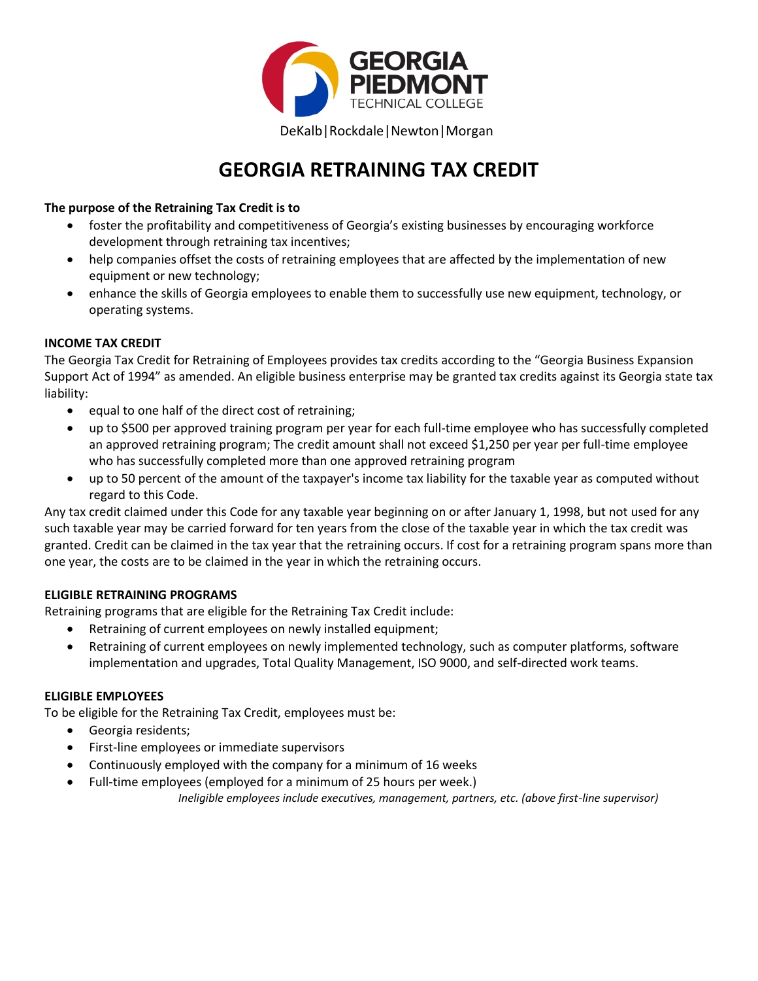

# **GEORGIA RETRAINING TAX CREDIT**

## **The purpose of the Retraining Tax Credit is to**

- foster the profitability and competitiveness of Georgia's existing businesses by encouraging workforce development through retraining tax incentives;
- help companies offset the costs of retraining employees that are affected by the implementation of new equipment or new technology;
- enhance the skills of Georgia employees to enable them to successfully use new equipment, technology, or operating systems.

### **INCOME TAX CREDIT**

The Georgia Tax Credit for Retraining of Employees provides tax credits according to the "Georgia Business Expansion Support Act of 1994" as amended. An eligible business enterprise may be granted tax credits against its Georgia state tax liability:

- equal to one half of the direct cost of retraining;
- up to \$500 per approved training program per year for each full-time employee who has successfully completed an approved retraining program; The credit amount shall not exceed \$1,250 per year per full-time employee who has successfully completed more than one approved retraining program
- up to 50 percent of the amount of the taxpayer's income tax liability for the taxable year as computed without regard to this Code.

Any tax credit claimed under this Code for any taxable year beginning on or after January 1, 1998, but not used for any such taxable year may be carried forward for ten years from the close of the taxable year in which the tax credit was granted. Credit can be claimed in the tax year that the retraining occurs. If cost for a retraining program spans more than one year, the costs are to be claimed in the year in which the retraining occurs.

#### **ELIGIBLE RETRAINING PROGRAMS**

Retraining programs that are eligible for the Retraining Tax Credit include:

- Retraining of current employees on newly installed equipment;
- Retraining of current employees on newly implemented technology, such as computer platforms, software implementation and upgrades, Total Quality Management, ISO 9000, and self-directed work teams.

#### **ELIGIBLE EMPLOYEES**

To be eligible for the Retraining Tax Credit, employees must be:

- Georgia residents;
- First-line employees or immediate supervisors
- Continuously employed with the company for a minimum of 16 weeks
- Full-time employees (employed for a minimum of 25 hours per week.) *Ineligible employees include executives, management, partners, etc. (above first-line supervisor)*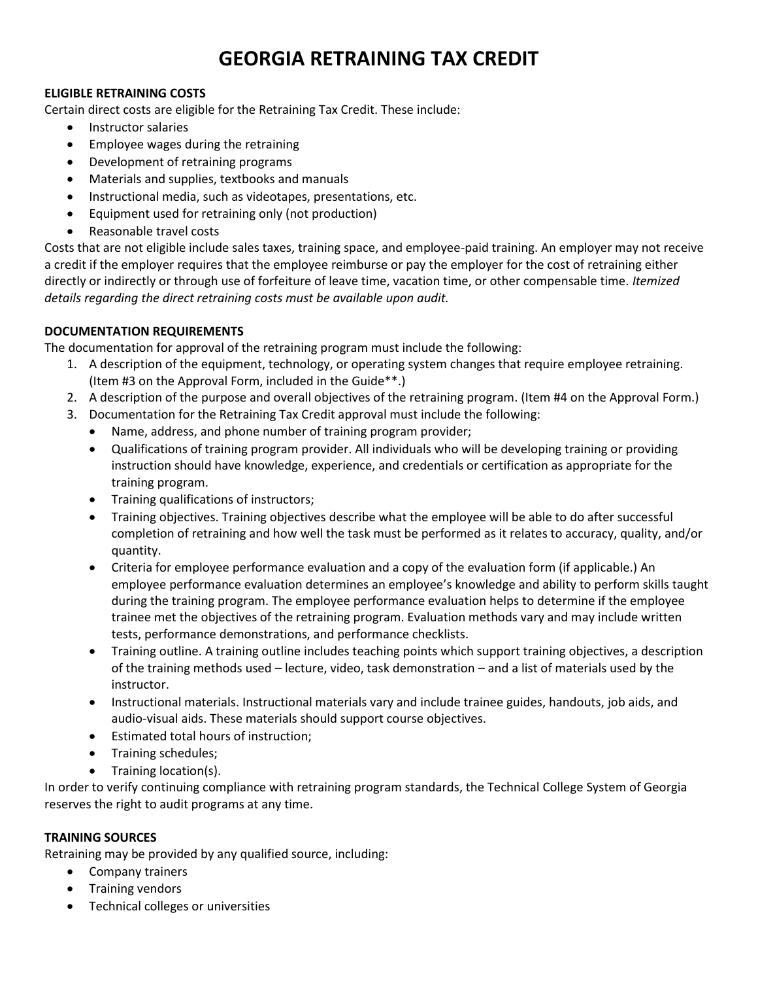# **GEORGIA RETRAINING TAX CREDIT**

#### **ELIGIBLE RETRAINING COSTS**

Certain direct costs are eligible for the Retraining Tax Credit. These include:

- Instructor salaries
- Employee wages during the retraining
- Development of retraining programs
- Materials and supplies, textbooks and manuals
- Instructional media, such as videotapes, presentations, etc.
- Equipment used for retraining only (not production)
- Reasonable travel costs

Costs that are not eligible include sales taxes, training space, and employee-paid training. An employer may not receive a credit if the employer requires that the employee reimburse or pay the employer for the cost of retraining either directly or indirectly or through use of forfeiture of leave time, vacation time, or other compensable time. *Itemized details regarding the direct retraining costs must be available upon audit.*

### **DOCUMENTATION REQUIREMENTS**

The documentation for approval of the retraining program must include the following:

- 1. A description of the equipment, technology, or operating system changes that require employee retraining. (Item #3 on the Approval Form, included in the Guide\*\*.)
- 2. A description of the purpose and overall objectives of the retraining program. (Item #4 on the Approval Form.)
- 3. Documentation for the Retraining Tax Credit approval must include the following:
	- Name, address, and phone number of training program provider;
	- Qualifications of training program provider. All individuals who will be developing training or providing instruction should have knowledge, experience, and credentials or certification as appropriate for the training program.
	- Training qualifications of instructors;
	- Training objectives. Training objectives describe what the employee will be able to do after successful completion of retraining and how well the task must be performed as it relates to accuracy, quality, and/or quantity.
	- Criteria for employee performance evaluation and a copy of the evaluation form (if applicable.) An employee performance evaluation determines an employee's knowledge and ability to perform skills taught during the training program. The employee performance evaluation helps to determine if the employee trainee met the objectives of the retraining program. Evaluation methods vary and may include written tests, performance demonstrations, and performance checklists.
	- Training outline. A training outline includes teaching points which support training objectives, a description of the training methods used – lecture, video, task demonstration – and a list of materials used by the instructor.
	- Instructional materials. Instructional materials vary and include trainee guides, handouts, job aids, and audio-visual aids. These materials should support course objectives.
	- Estimated total hours of instruction;
	- Training schedules;
	- Training location(s).

In order to verify continuing compliance with retraining program standards, the Technical College System of Georgia reserves the right to audit programs at any time.

#### **TRAINING SOURCES**

Retraining may be provided by any qualified source, including:

- Company trainers
- Training vendors
- Technical colleges or universities